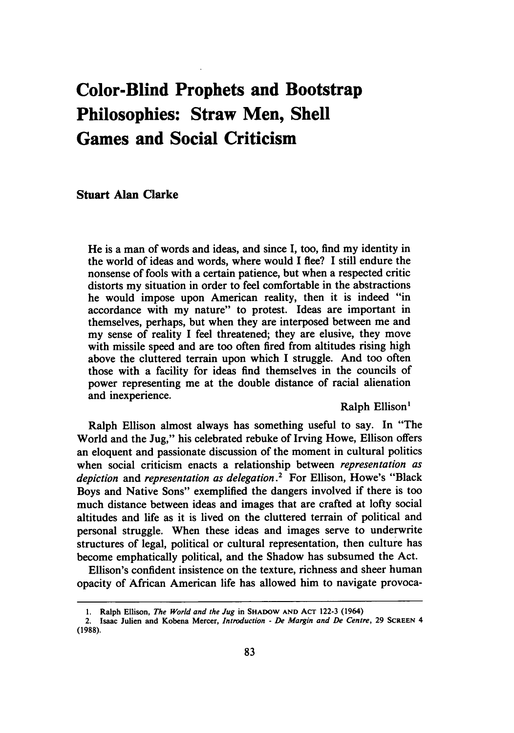# **Color-Blind Prophets and Bootstrap Philosophies: Straw Men, Shell Games and Social Criticism**

**Stuart Alan** Clarke

**He** is a man of words and ideas, and since I, too, find my identity in the world of ideas and words, where would I flee? I still endure the nonsense of fools with a certain patience, but when a respected critic distorts my situation in order to feel comfortable in the abstractions he would impose upon American reality, then it is indeed "in accordance with my nature" to protest. Ideas are important in themselves, perhaps, but when they are interposed between me and my sense of reality I feel threatened; they are elusive, they move with missile speed and are too often fired from altitudes rising high above the cluttered terrain upon which **I** struggle. And too often those with a facility for ideas find themselves in the councils of power representing me at the double distance of racial alienation and inexperience.

Ralph Ellison'

Ralph Ellison almost always has something useful to say. In "The World and the Jug," his celebrated rebuke of Irving Howe, Ellison offers an eloquent and passionate discussion of the moment in cultural politics when social criticism enacts a relationship between *representation as depiction* and *representation as delegation.2* For Ellison, Howe's "Black Boys and Native Sons" exemplified the dangers involved if there is too much distance between ideas and images that are crafted at lofty social altitudes and life as it is lived on the cluttered terrain of political and personal struggle. When these ideas and images serve to underwrite structures of legal, political or cultural representation, then culture has become emphatically political, and the Shadow has subsumed the Act.

Ellison's confident insistence on the texture, richness and sheer human opacity of African American life has allowed him to navigate provoca-

**<sup>1.</sup>** Ralph Ellison, *The World and the Jug* **in SHADOW AND ACT 122-3** (1964)

<sup>2.</sup> Isaac Julien and Kobena Mercer, *Introduction* **-** *De Margin and De Centre,* **29 SCREEN** 4 **(1988).**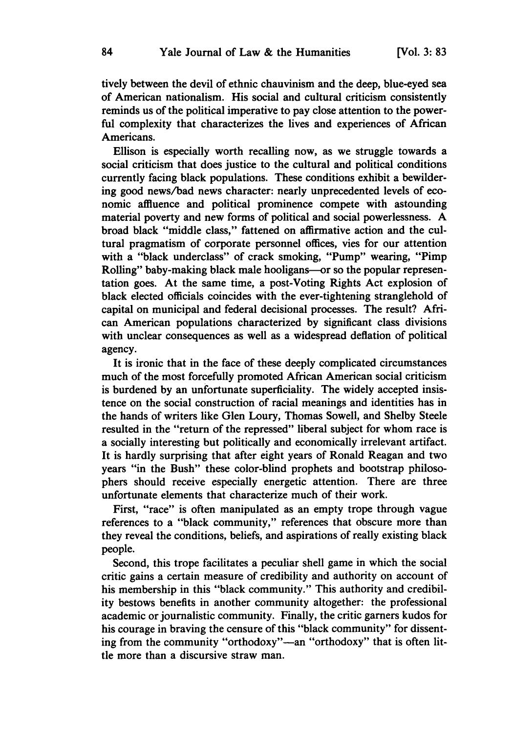tively between the devil of ethnic chauvinism and the deep, blue-eyed sea of American nationalism. His social and cultural criticism consistently reminds us of the political imperative to pay close attention to the powerful complexity that characterizes the lives and experiences of African Americans.

Ellison is especially worth recalling now, as we struggle towards a social criticism that does justice to the cultural and political conditions currently facing black populations. These conditions exhibit a bewildering good news/bad news character: nearly unprecedented levels of economic affluence and political prominence compete with astounding material poverty and new forms of political and social powerlessness. **A** broad black "middle class," fattened on affirmative action and the cultural pragmatism of corporate personnel offices, vies for our attention with a "black underclass" of crack smoking, "Pump" wearing, "Pimp Rolling" baby-making black male hooligans-or so the popular representation goes. At the same time, a post-Voting Rights Act explosion of black elected officials coincides with the ever-tightening stranglehold of capital on municipal and federal decisional processes. The result? African American populations characterized **by** significant class divisions with unclear consequences as well as a widespread deflation of political agency.

It is ironic that in the face of these deeply complicated circumstances much of the most forcefully promoted African American social criticism is burdened by an unfortunate superficiality. The widely accepted insistence on the social construction of racial meanings and identities has in the hands of writers like Glen Loury, Thomas Sowell, and Shelby Steele resulted in the "return of the repressed" liberal subject for whom race is a socially interesting but politically and economically irrelevant artifact. It is hardly surprising that after eight years of Ronald Reagan and two years "in the Bush" these color-blind prophets and bootstrap philosophers should receive especially energetic attention. There are three unfortunate elements that characterize much of their work.

First, "race" is often manipulated as an empty trope through vague references to a "black community," references that obscure more than they reveal the conditions, beliefs, and aspirations of really existing black people.

Second, this trope facilitates a peculiar shell game in which the social critic gains a certain measure of credibility and authority on account of his membership in this "black community." This authority and credibility bestows benefits in another community altogether: the professional academic or journalistic community. Finally, the critic garners kudos for his courage in braving the censure of this "black community" for dissenting from the community "orthodoxy"-an "orthodoxy" that is often little more than a discursive straw man.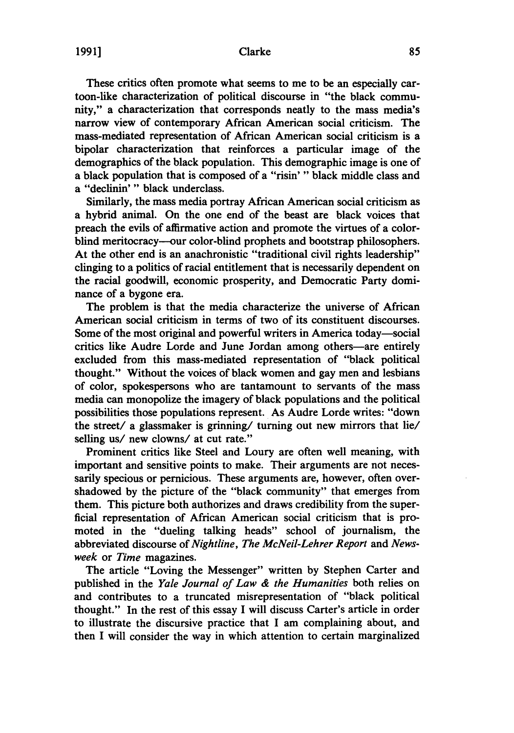These critics often promote what seems to me to be an especially cartoon-like characterization of political discourse in "the black community," a characterization that corresponds neatly to the mass media's narrow view of contemporary African American social criticism. The mass-mediated representation of African American social criticism is a bipolar characterization that reinforces a particular image of the demographics of the black population. This demographic image is one of a black population that is composed of a "risin' " black middle class and a "declinin'" black underclass.

Similarly, the mass media portray African American social criticism as a hybrid animal. On the one end of the beast are black voices that preach the evils of affirmative action and promote the virtues of a colorblind meritocracy--our color-blind prophets and bootstrap philosophers. At the other end is an anachronistic "traditional civil rights leadership" clinging to a politics of racial entitlement that is necessarily dependent on the racial goodwill, economic prosperity, and Democratic Party dominance of a bygone era.

The problem is that the media characterize the universe of African American social criticism in terms of two of its constituent discourses. Some of the most original and powerful writers in America today-social critics like Audre Lorde and June Jordan among others-are entirely excluded from this mass-mediated representation of "black political thought." Without the voices of black women and gay men and lesbians of color, spokespersons who are tantamount to servants of the mass media can monopolize the imagery of black populations and the political possibilities those populations represent. As Audre Lorde writes: "down the street/ a glassmaker is grinning/ turning out new mirrors that lie/ selling *us/* new clowns/ at cut rate."

Prominent critics like Steel and Loury are often well meaning, with important and sensitive points to make. Their arguments are not necessarily specious or pernicious. These arguments are, however, often overshadowed **by** the picture of the "black community" that emerges from them. This picture both authorizes and draws credibility from the superficial representation of African American social criticism that is promoted in the "dueling talking heads" school of journalism, the abbreviated discourse of *Nightline, The McNeil-Lehrer Report* and *Newsweek* or *Time* magazines.

The article "Loving the Messenger" written **by** Stephen Carter and published in the *Yale Journal of Law & the Humanities* both relies on and contributes to a truncated misrepresentation of "black political thought." In the rest of this essay I will discuss Carter's article in order to illustrate the discursive practice that I am complaining about, and then **I** will consider the way in which attention to certain marginalized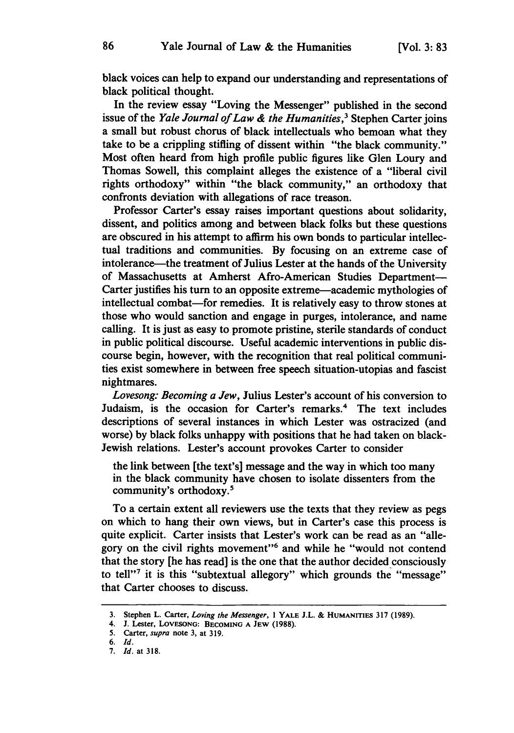black voices can help to expand our understanding and representations of black political thought.

In the review essay "Loving the Messenger" published in the second issue of the *Yale Journal of Law & the Humanities,3* Stephen Carter joins a small but robust chorus of black intellectuals who bemoan what they take to be a crippling stifling of dissent within "the black community." Most often heard from high profile public figures like Glen Loury and Thomas Sowell, this complaint alleges the existence of a "liberal civil rights orthodoxy" within "the black community," an orthodoxy that confronts deviation with allegations of race treason.

Professor Carter's essay raises important questions about solidarity, dissent, and politics among and between black folks but these questions are obscured in his attempt to affirm his own bonds to particular intellectual traditions and communities. **By** focusing on an extreme case of intolerance-the treatment of Julius Lester at the hands of the University of Massachusetts at Amherst Afro-American Studies Department-Carter justifies his turn to an opposite extreme—academic mythologies of intellectual combat—for remedies. It is relatively easy to throw stones at those who would sanction and engage in purges, intolerance, and name calling. It is just as easy to promote pristine, sterile standards of conduct in public political discourse. Useful academic interventions in public discourse begin, however, with the recognition that real political communities exist somewhere in between free speech situation-utopias and fascist nightmares.

*Lovesong: Becoming a Jew,* Julius Lester's account of his conversion to Judaism, is the occasion for Carter's remarks.<sup>4</sup> The text includes descriptions of several instances in which Lester was ostracized (and worse) **by** black folks unhappy with positions that he had taken on black-Jewish relations. Lester's account provokes Carter to consider

the link between [the text's] message and the way in which too many in the black community have chosen to isolate dissenters from the community's orthodoxy.5

To a certain extent all reviewers use the texts that they review as pegs on which to hang their own views, but in Carter's case this process is quite explicit. Carter insists that Lester's work can be read as an "allegory on the civil rights movement"<sup>6</sup> and while he "would not contend that the story [he has read] is the one that the author decided consciously to tell"7 it is this "subtextual allegory" which grounds the "message" that Carter chooses to discuss.

**<sup>3.</sup>** Stephen L. Carter, Loving *the Messenger,* **1 YALE J.L. & HUMANITIES 317** (1989).

<sup>4.</sup> **J.** Lester, **LOVESONG: BECOMING A JEW (1988).**

**<sup>5.</sup>** Carter, *supra* note **3,** at **319.**

<sup>6.</sup> *Id.*

**<sup>7.</sup>** *Id.* at **318.**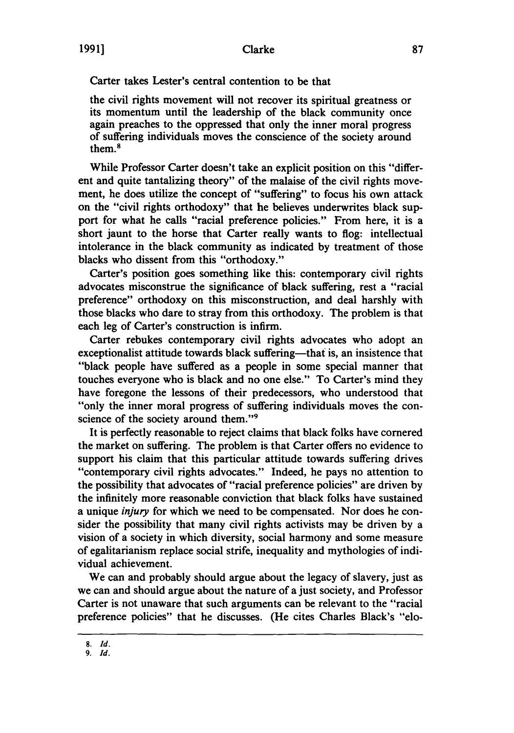Carter takes Lester's central contention to be that

the civil rights movement will not recover its spiritual greatness or its momentum until the leadership of the black community once again preaches to the oppressed that only the inner moral progress of suffering individuals moves the conscience of the society around them.<sup>8</sup>

While Professor Carter doesn't take an explicit position on this "different and quite tantalizing theory" of the malaise of the civil rights movement, he does utilize the concept of "suffering" to focus his own attack on the "civil rights orthodoxy" that he believes underwrites black support for what he calls "racial preference policies." From here, it is a short jaunt to the horse that Carter really wants to flog: intellectual intolerance in the black community as indicated **by** treatment of those blacks who dissent from this "orthodoxy."

Carter's position goes something like this: contemporary civil rights advocates misconstrue the significance of black suffering, rest a "racial preference" orthodoxy on this misconstruction, and deal harshly with those blacks who dare to stray from this orthodoxy. The problem is that each leg of Carter's construction is infirm.

Carter rebukes contemporary civil rights advocates who adopt an exceptionalist attitude towards black suffering-that is, an insistence that "black people have suffered as a people in some special manner that touches everyone who is black and no one else." To Carter's mind they have foregone the lessons of their predecessors, who understood that "only the inner moral progress of suffering individuals moves the conscience of the society around them."<sup>9</sup>

It is perfectly reasonable to reject claims that black folks have cornered the market on suffering. The problem is that Carter offers no evidence to support his claim that this particular attitude towards suffering drives "contemporary civil rights advocates." Indeed, he pays no attention to the possibility that advocates of "racial preference policies" are driven **by** the infinitely more reasonable conviction that black folks have sustained a unique *injury* for which we need to be compensated. Nor does he consider the possibility that many civil rights activists may be driven **by** a vision of a society in which diversity, social harmony and some measure of egalitarianism replace social strife, inequality and mythologies of individual achievement.

We can and probably should argue about the legacy of slavery, just as we can and should argue about the nature of a just society, and Professor Carter is not unaware that such arguments can be relevant to the "racial preference policies" that he discusses. (He cites Charles Black's "elo-

**<sup>8.</sup>** *Id.*

*<sup>9.</sup> Id.*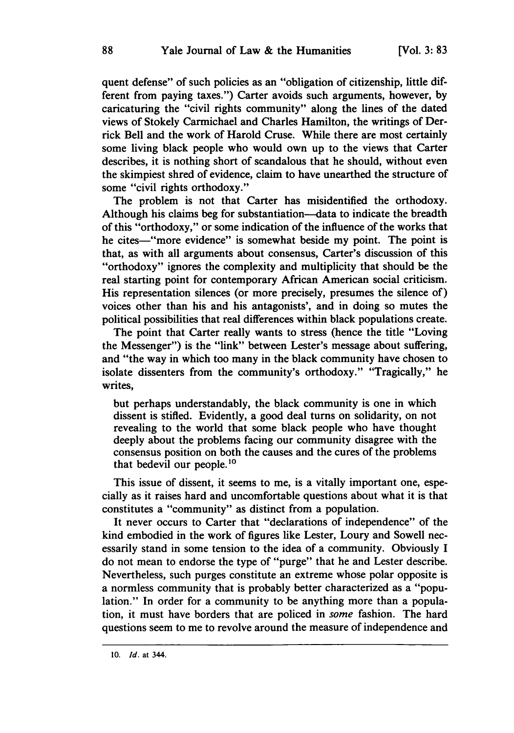quent defense" of such policies as an "obligation of citizenship, little different from paying taxes.") Carter avoids such arguments, however, **by** caricaturing the "civil rights community" along the lines of the dated views of Stokely Carmichael and Charles Hamilton, the writings of Derrick Bell and the work of Harold Cruse. While there are most certainly some living black people who would own up to the views that Carter describes, it is nothing short of scandalous that he should, without even the skimpiest shred of evidence, claim to have unearthed the structure of some "civil rights orthodoxy."

The problem is not that Carter has misidentified the orthodoxy. Although his claims beg for substantiation—data to indicate the breadth of this "orthodoxy," or some indication of the influence of the works that he cites-"more evidence" is somewhat beside my point. The point is that, as with all arguments about consensus, Carter's discussion of this "orthodoxy" ignores the complexity and multiplicity that should be the real starting point for contemporary African American social criticism. His representation silences (or more precisely, presumes the silence of) voices other than his and his antagonists', and in doing so mutes the political possibilities that real differences within black populations create.

The point that Carter really wants to stress (hence the title "Loving the Messenger") is the "link" between Lester's message about suffering, and "the way in which too many in the black community have chosen to isolate dissenters from the community's orthodoxy." "Tragically," he writes,

but perhaps understandably, the black community is one in which dissent is stifled. Evidently, a good deal turns on solidarity, on not revealing to the world that some black people who have thought deeply about the problems facing our community disagree with the consensus position on both the causes and the cures of the problems that bedevil our people.10

This issue of dissent, it seems to me, is a vitally important one, especially as it raises hard and uncomfortable questions about what it is that constitutes a "community" as distinct from a population.

It never occurs to Carter that "declarations of independence" of the kind embodied in the work of figures like Lester, Loury and Sowell necessarily stand in some tension to the idea of a community. Obviously I do not mean to endorse the type of "purge" that he and Lester describe. Nevertheless, such purges constitute an extreme whose polar opposite is a normless community that is probably better characterized as a "population." In order for a community to be anything more than a population, it must have borders that are policed in *some* fashion. The hard questions seem to me to revolve around the measure of independence and

**<sup>10.</sup>** *Id.* at 344.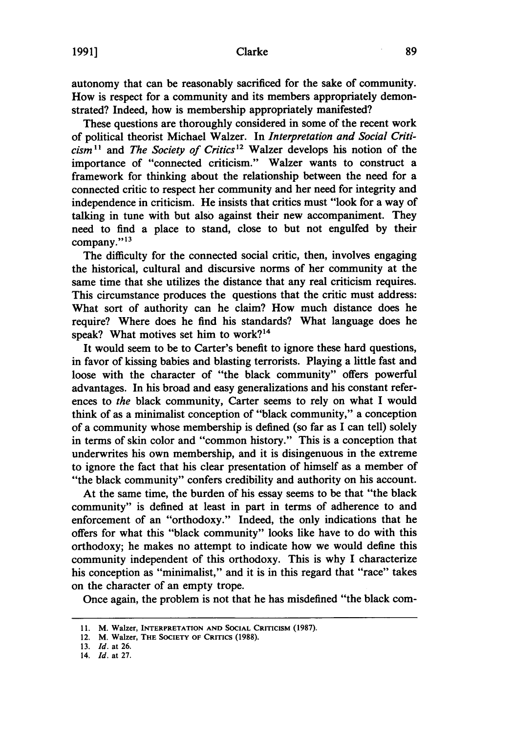autonomy that can be reasonably sacrificed for the sake of community. How is respect for a community and its members appropriately demonstrated? Indeed, how is membership appropriately manifested?

These questions are thoroughly considered in some of the recent work of political theorist Michael Walzer. In *Interpretation and Social Criti* $cism$ <sup>11</sup> and *The Society of Critics*<sup>12</sup> Walzer develops his notion of the importance of "connected criticism." Walzer wants to construct a framework for thinking about the relationship between the need for a connected critic to respect her community and her need for integrity and independence in criticism. He insists that critics must "look for a way of talking in tune with but also against their new accompaniment. They need to find a place to stand, close to but not engulfed **by** their company."<sup>13</sup>

The difficulty for the connected social critic, then, involves engaging the historical, cultural and discursive norms of her community at the same time that she utilizes the distance that any real criticism requires. This circumstance produces the questions that the critic must address: What sort of authority can he claim? How much distance does he require? Where does he find his standards? What language does he speak? What motives set him to work?<sup>14</sup>

It would seem to be to Carter's benefit to ignore these hard questions, in favor of kissing babies and blasting terrorists. Playing a little fast and loose with the character of "the black community" offers powerful advantages. In his broad and easy generalizations and his constant references to *the* black community, Carter seems to rely on what I would think of as a minimalist conception of "black community," a conception of a community whose membership is defined (so far as I can tell) solely in terms of skin color and "common history." This is a conception that underwrites his own membership, and it is disingenuous in the extreme to ignore the fact that his clear presentation of himself as a member of "the black community" confers credibility and authority on his account.

At the same time, the burden of his essay seems to be that "the black community" is defined at least in part in terms of adherence to and enforcement of an "orthodoxy." Indeed, the only indications that he offers for what this "black community" looks like have to do with this orthodoxy; he makes no attempt to indicate how we would define this community independent of this orthodoxy. This is why I characterize his conception as "minimalist," and it is in this regard that "race" takes on the character of an empty trope.

Once again, the problem is not that he has misdefined "the black com-

**<sup>11.</sup>** M. **Walzer, INTERPRETATION AND SOCIAL CRITICISM (1987).**

<sup>12.</sup> M. **Walzer,** THE **SOCIETY** OF CRITICS **(1988).**

**<sup>13.</sup>** *Id.* at **26.**

<sup>14.</sup> *Id.* at **27.**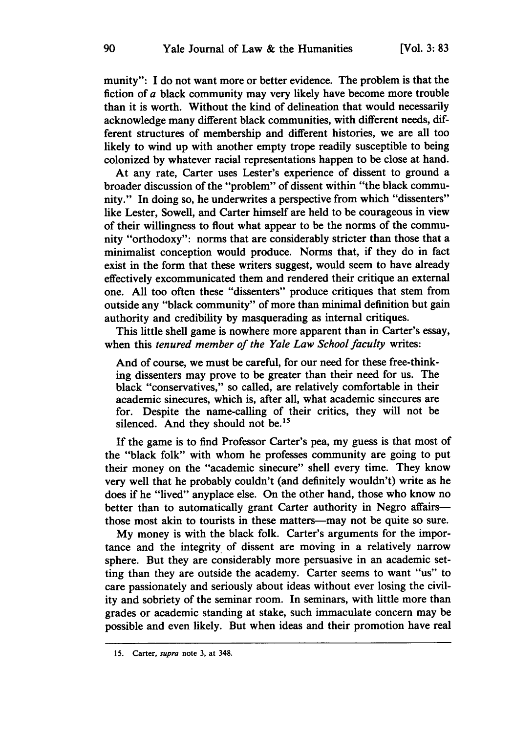munity": **I** do not want more or better evidence. The problem is that the fiction of a black community may very likely have become more trouble than it is worth. Without the kind of delineation that would necessarily acknowledge many different black communities, with different needs, different structures of membership and different histories, we are all too likely to wind up with another empty trope readily susceptible to being colonized **by** whatever racial representations happen to be close at hand.

At any rate, Carter uses Lester's experience of dissent to ground a broader discussion of the "problem" of dissent within "the black community." In doing so, he underwrites a perspective from which "dissenters" like Lester, Sowell, and Carter himself are held to be courageous in view of their willingness to flout what appear to be the norms of the community "orthodoxy": norms that are considerably stricter than those that a minimalist conception would produce. Norms that, if they do in fact exist in the form that these writers suggest, would seem to have already effectively excommunicated them and rendered their critique an external one. **All** too often these "dissenters" produce critiques that stem from outside any "black community" of more than minimal definition but gain authority and credibility **by** masquerading as internal critiques.

This little shell game is nowhere more apparent than in Carter's essay, when this *tenured member of the Yale Law School faculty* writes:

And of course, we must be careful, for our need for these free-thinking dissenters may prove to be greater than their need for us. The black "conservatives," so called, are relatively comfortable in their academic sinecures, which is, after all, what academic sinecures are for. Despite the name-calling of their critics, they will not be silenced. And they should not be.<sup>15</sup>

If the game is to find Professor Carter's pea, my guess is that most of the "black folk" with whom he professes community are going to put their money on the "academic sinecure" shell every time. They know very well that he probably couldn't (and definitely wouldn't) write as he does if he "lived" anyplace else. On the other hand, those who know no better than to automatically grant Carter authority in Negro affairsthose most akin to tourists in these matters—may not be quite so sure.

**My** money is with the black folk. Carter's arguments for the importance and the integrity of dissent are moving in a relatively narrow sphere. But they are considerably more persuasive in an academic setting than they are outside the academy. Carter seems to want "us" to care passionately and seriously about ideas without ever losing the civility and sobriety of the seminar room. In seminars, with little more than grades or academic standing at stake, such immaculate concern may be possible and even likely. But when ideas and their promotion have real

**<sup>15.</sup>** Carter, *supra* note **3,** at 348.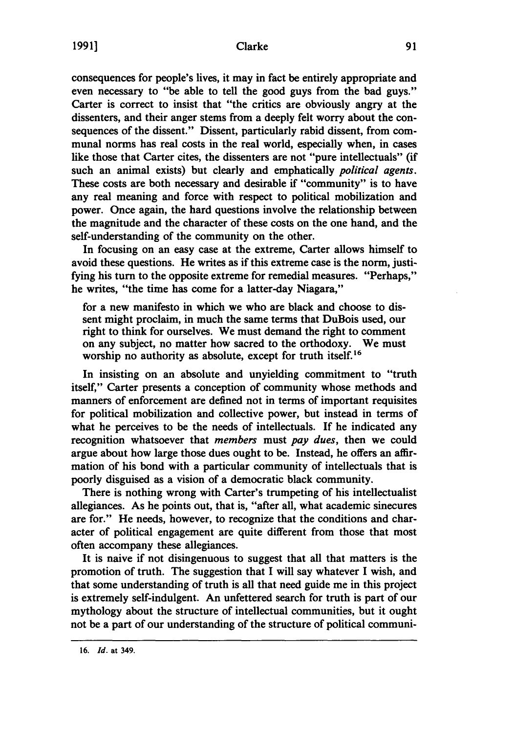consequences for people's lives, it may in fact be entirely appropriate and even necessary to "be able to tell the good guys from the bad guys." Carter is correct to insist that "the critics are obviously angry at the dissenters, and their anger stems from a deeply felt worry about the consequences of the dissent." Dissent, particularly rabid dissent, from communal norms has real costs in the real world, especially when, in cases like those that Carter cites, the dissenters are not "pure intellectuals" (if such an animal exists) but clearly and emphatically *political agents.* These costs are both necessary and desirable if "community" is to have any real meaning and force with respect to political mobilization and power. Once again, the hard questions involve the relationship between the magnitude and the character of these costs on the one hand, and the self-understanding of the community on the other.

In focusing on an easy case at the extreme, Carter allows himself to avoid these questions. He writes as if this extreme case is the norm, justifying his turn to the opposite extreme for remedial measures. "Perhaps," he writes, "the time has come for a latter-day Niagara,"

for a new manifesto in which we who are black and choose to dissent might proclaim, in much the same terms that DuBois used, our right to think for ourselves. We must demand the right to comment on any subject, no matter how sacred to the orthodoxy. We must worship no authority as absolute, except for truth itself.<sup>16</sup>

In insisting on an absolute and unyielding commitment to "truth itself," Carter presents a conception of community whose methods and manners of enforcement are defined not in terms of important requisites for political mobilization and collective power, but instead in terms of what he perceives to be the needs of intellectuals. If he indicated any recognition whatsoever that *members* must *pay dues,* then we could argue about how large those dues ought to be. Instead, he offers an affirmation of his bond with a particular community of intellectuals that is poorly disguised as a vision of a democratic black community.

There is nothing wrong with Carter's trumpeting of his intellectualist allegiances. As he points out, that is, "after all, what academic sinecures are for." He needs, however, to recognize that the conditions and character of political engagement are quite different from those that most often accompany these allegiances.

It is naive if not disingenuous to suggest that all that matters is the promotion of truth. The suggestion that I will say whatever I wish, and that some understanding of truth is all that need guide me in this project is extremely self-indulgent. An unfettered search for truth is part of our mythology about the structure of intellectual communities, but it ought not be a part of our understanding of the structure of political communi-

**<sup>16.</sup>** *Id.* at 349.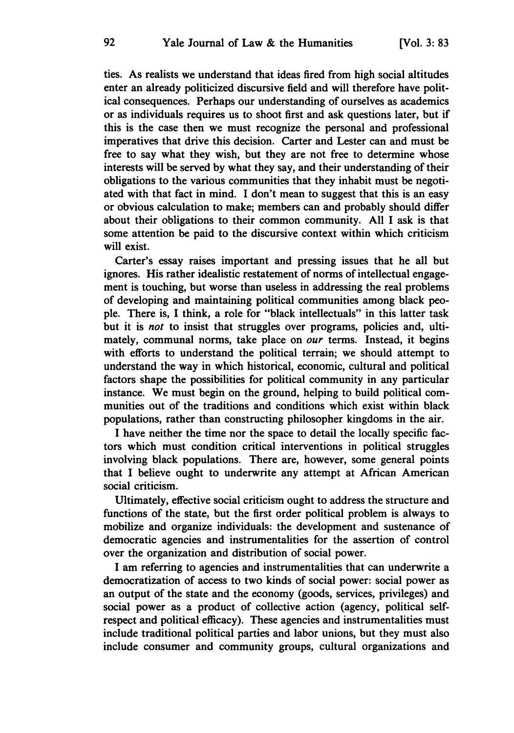ties. As realists we understand that ideas fired from high social altitudes enter an already politicized discursive field and will therefore have political consequences. Perhaps our understanding of ourselves as academics or as individuals requires us to shoot first and ask questions later, but if this is the case then we must recognize the personal and professional imperatives that drive this decision. Carter and Lester can and must be free to say what they wish, but they are not free to determine whose interests will be served **by** what they say, and their understanding of their obligations to the various communities that they inhabit must be negotiated with that fact in mind. I don't mean to suggest that this is an easy or obvious calculation to make; members can and probably should differ about their obligations to their common community. **All** I ask is that some attention be paid to the discursive context within which criticism will exist.

Carter's essay raises important and pressing issues that he all but ignores. His rather idealistic restatement of norms of intellectual engagement is touching, but worse than useless in addressing the real problems of developing and maintaining political communities among black people. There is, I think, a role for "black intellectuals" in this latter task but it is *not* to insist that struggles over programs, policies and, ultimately, communal norms, take place on *our* terms. Instead, it begins with efforts to understand the political terrain; we should attempt to understand the way in which historical, economic, cultural and political factors shape the possibilities for political community in any particular instance. We must begin on the ground, helping to build political communities out of the traditions and conditions which exist within black populations, rather than constructing philosopher kingdoms in the air.

I have neither the time nor the space to detail the locally specific factors which must condition critical interventions in political struggles involving black populations. There are, however, some general points that I believe ought to underwrite any attempt at African American social criticism.

Ultimately, effective social criticism ought to address the structure and functions of the state, but the first order political problem is always to mobilize and organize individuals: the development and sustenance of democratic agencies and instrumentalities for the assertion of control over the organization and distribution of social power.

I am referring to agencies and instrumentalities that can underwrite a democratization of access to two kinds of social power: social power as an output of the state and the economy (goods, services, privileges) and social power as a product of collective action (agency, political selfrespect and political efficacy). These agencies and instrumentalities must include traditional political parties and labor unions, but they must also include consumer and community groups, cultural organizations and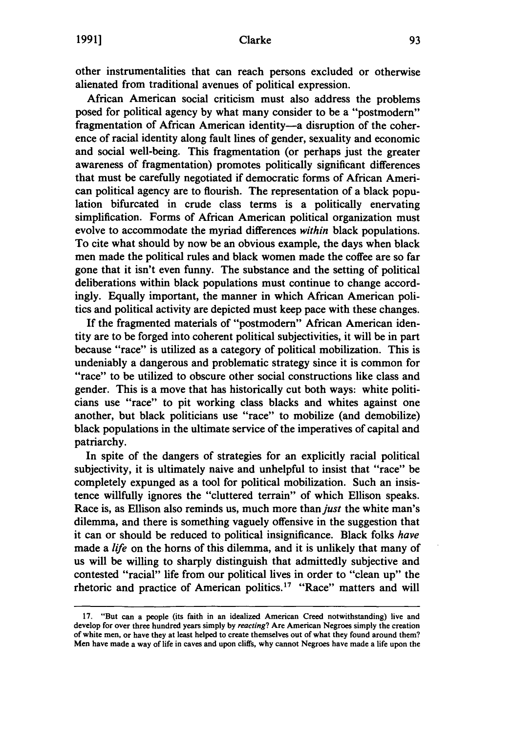other instrumentalities that can reach persons excluded or otherwise alienated from traditional avenues of political expression.

African American social criticism must also address the problems posed for political agency **by** what many consider to be a "postmodern" fragmentation of African American identity-a disruption of the coherence of racial identity along fault lines of gender, sexuality and economic and social well-being. This fragmentation (or perhaps just the greater awareness of fragmentation) promotes politically significant differences that must be carefully negotiated if democratic forms of African American political agency are to flourish. The representation of a black population bifurcated in crude class terms is a politically enervating simplification. Forms of African American political organization must evolve to accommodate the myriad differences *within* black populations. To cite what should **by** now be an obvious example, the days when black men made the political rules and black women made the coffee are so far gone that it isn't even funny. The substance and the setting of political deliberations within black populations must continue to change accordingly. Equally important, the manner in which African American politics and political activity are depicted must keep pace with these changes.

**If** the fragmented materials of "postmodern" African American identity are to be forged into coherent political subjectivities, it will be in part because "race" is utilized as a category of political mobilization. This is undeniably a dangerous and problematic strategy since it is common for "race" to be utilized to obscure other social constructions like class and gender. This is a move that has historically cut both ways: white politicians use "race" to pit working class blacks and whites against one another, but black politicians use "race" to mobilize (and demobilize) black populations in the ultimate service of the imperatives of capital and patriarchy.

In spite of the dangers of strategies for an explicitly racial political subjectivity, it is ultimately naive and unhelpful to insist that "race" be completely expunged as a tool for political mobilization. Such an insistence willfully ignores the "cluttered terrain" of which Ellison speaks. Race is, as Ellison also reminds us, much more than *just* the white man's dilemma, and there is something vaguely offensive in the suggestion that it can or should be reduced to political insignificance. Black folks *have* made a *life* on the horns of this dilemma, and it is unlikely that many of us will be willing to sharply distinguish that admittedly subjective and contested "racial" life from our political lives in order to "clean up" the rhetoric and practice of American politics.<sup>17</sup> "Race" matters and will

**<sup>17.</sup>** "But can a people (its faith in an idealized American Creed notwithstanding) live and develop for over three hundred years simply **by** reacting? Are American Negroes simply the creation of white men, or have they at least helped to create themselves out of what they found around them? Men have made a way of life in caves and upon cliffs, why cannot Negroes have made a life upon the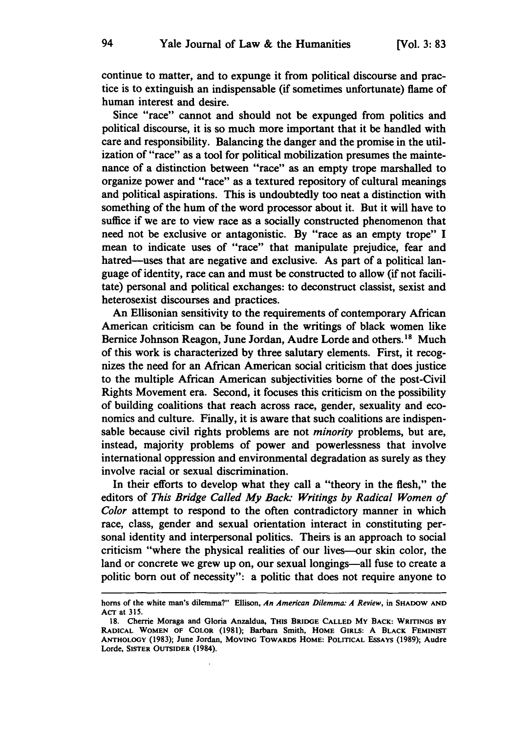continue to matter, and to expunge it from political discourse and practice is to extinguish an indispensable (if sometimes unfortunate) flame of human interest and desire.

Since "race" cannot and should not be expunged from politics and political discourse, it is so much more important that it be handled with care and responsibility. Balancing the danger and the promise in the utilization of "race" as a tool for political mobilization presumes the maintenance of a distinction between "race" as an empty trope marshalled to organize power and "race" as a textured repository of cultural meanings and political aspirations. This is undoubtedly too neat a distinction with something of the hum of the word processor about it. But it will have to suffice if we are to view race as a socially constructed phenomenon that need not be exclusive or antagonistic. **By** "race as an empty trope" **I** mean to indicate uses of "race" that manipulate prejudice, fear and hatred-uses that are negative and exclusive. As part of a political language of identity, race can and must be constructed to allow (if not facilitate) personal and political exchanges: to deconstruct classist, sexist and heterosexist discourses and practices.

An Ellisonian sensitivity to the requirements of contemporary African American criticism can be found in the writings of black women like Bernice Johnson Reagon, June Jordan, Audre Lorde and others.<sup>18</sup> Much of this work is characterized **by** three salutary elements. First, it recognizes the need for an African American social criticism that does justice to the multiple African American subjectivities borne of the post-Civil Rights Movement era. Second, it focuses this criticism on the possibility of building coalitions that reach across race, gender, sexuality and economics and culture. Finally, it is aware that such coalitions are indispensable because civil rights problems are not *minority* problems, but are, instead, majority problems of power and powerlessness that involve international oppression and environmental degradation as surely as they involve racial or sexual discrimination.

In their efforts to develop what they call a "theory in the flesh," the editors of *This Bridge Called My Back- Writings by Radical Women of Color* attempt to respond to the often contradictory manner in which race, class, gender and sexual orientation interact in constituting personal identity and interpersonal politics. Theirs is an approach to social criticism "where the physical realities of our lives-our skin color, the land or concrete we grew up on, our sexual longings—all fuse to create a politic born out of necessity": a politic that does not require anyone to

horns of the white man's dilemma?" Ellison, *An American Dilemma. A Review,* **in SHADOW AND** ACT at **315.**

**<sup>18.</sup>** Cherrie Moraga and Gloria Anzaldua, **THIS BRIDGE CALLED MY BACK: WRITINGS BY RADICAL WOMEN OF COLOR (1981); Barbara** Smith, **HOME GIRLS: A BLACK FEMINIST ANTHOLOGY (1983); June Jordan, MOVING TOWARDS HOME: POLITICAL ESSAYS (1989); Audre Lorde, SISTER OUTSIDER** (1984).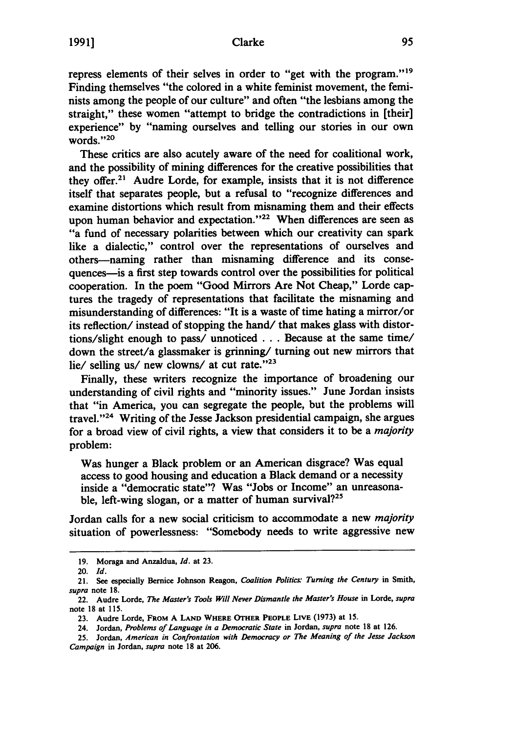repress elements of their selves in order to "get with the **program."<sup>19</sup>** Finding themselves "the colored in a white feminist movement, the feminists among the people of our culture" and often "the lesbians among the straight," these women "attempt to bridge the contradictions in [their] experience" **by** "naming ourselves and telling our stories in our own words."20

These critics are also acutely aware of the need for coalitional work, and the possibility of mining differences for the creative possibilities that they offer.<sup>21</sup> Audre Lorde, for example, insists that it is not difference itself that separates people, but a refusal to "recognize differences and examine distortions which result from misnaming them and their effects upon human behavior and expectation."<sup>22</sup> When differences are seen as "a fund of necessary polarities between which our creativity can spark like a dialectic," control over the representations of ourselves and others-naming rather than misnaming difference and its consequences—is a first step towards control over the possibilities for political cooperation. In the poem "Good Mirrors Are Not Cheap," Lorde captures the tragedy of representations that facilitate the misnaming and misunderstanding of differences: "It is a waste of time hating a mirror/or its reflection/ instead of stopping the hand/ that makes glass with distortions/slight enough to pass/ unnoticed **. . .** Because at the same time/ down the street/a glassmaker is grinning/ turning out new mirrors that lie/ selling us/ new clowns/ at cut rate."<sup>23</sup>

Finally, these writers recognize the importance of broadening our understanding of civil rights and "minority issues." June Jordan insists that "in America, you can segregate the people, but the problems will travel."24 Writing of the Jesse Jackson presidential campaign, she argues for a broad view of civil rights, a view that considers it to be a *majority* problem:

Was hunger a Black problem or an American disgrace? Was equal access to good housing and education a Black demand or a necessity inside a "democratic state"? Was "Jobs or Income" an unreasonable, left-wing slogan, or a matter of human survival?<sup>25</sup>

Jordan calls for a new social criticism to accommodate a new *majority* situation of powerlessness: "Somebody needs to write aggressive new

**<sup>19.</sup>** Moraga and Anzaldua, *Id.* at **23.**

<sup>20.</sup> *Id.*

<sup>21.</sup> See especially Bernice Johnson Reagon, *Coalition Politics Turning the Century* in Smith, *supra* note **18.**

<sup>22.</sup> Audre Lorde, *The Master's Tools Will Never Dismantle the Master's House* in Lorde, *supra* note **18** at **115.**

**<sup>23.</sup>** Audre Lorde, **FROM A LAND WHERE OTHER PEOPLE** LIVE (1973) at **15.**

<sup>24.</sup> Jordan, *Problems of Language in a Democratic State* in Jordan, *supra* note **18** at **126.**

**<sup>25.</sup>** Jordan, *American in Confrontation with Democracy or The Meaning of the Jesse Jackson Campaign* in Jordan, *supra* note **18** at **206.**